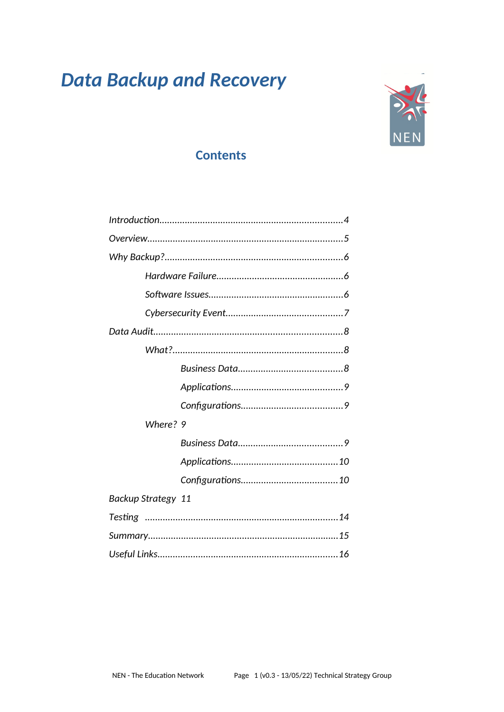# **Data Backup and Recovery**



# **Contents**

| Where? 9           |  |
|--------------------|--|
|                    |  |
|                    |  |
|                    |  |
| Backup Strategy 11 |  |
|                    |  |
|                    |  |
|                    |  |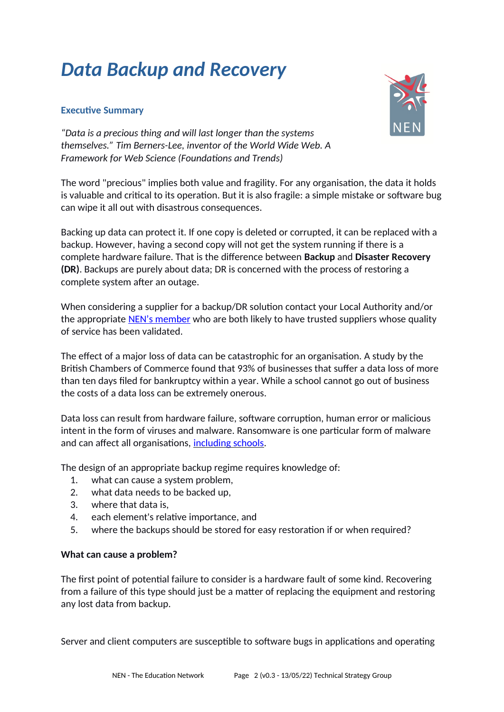# *Data Backup and Recovery*

# **Executive Summary**



*"Data is a precious thing and will last longer than the systems themselves." Tim Berners-Lee, inventor of the World Wide Web. A Framework for Web Science (Foundations and Trends)*

The word "precious" implies both value and fragility. For any organisation, the data it holds is valuable and critical to its operation. But it is also fragile: a simple mistake or software bug can wipe it all out with disastrous consequences.

Backing up data can protect it. If one copy is deleted or corrupted, it can be replaced with a backup. However, having a second copy will not get the system running if there is a complete hardware failure. That is the difference between **Backup** and **Disaster Recovery (DR)**. Backups are purely about data; DR is concerned with the process of restoring a complete system after an outage.

When considering a supplier for a backup/DR solution contact your Local Authority and/or the appropriate [NEN's member](https://nen.gov.uk/about-us/providers/) who are both likely to have trusted suppliers whose quality of service has been validated.

The effect of a major loss of data can be catastrophic for an organisation. A study by the British Chambers of Commerce found that 93% of businesses that suffer a data loss of more than ten days filed for bankruptcy within a year. While a school cannot go out of business the costs of a data loss can be extremely onerous.

Data loss can result from hardware failure, software corruption, human error or malicious intent in the form of viruses and malware. Ransomware is one particular form of malware and can affect all organisations, [including schools.](https://www.ncsc.gov.uk/news/alert-targeted-ransomware-attacks-on-uk-education-sector#section_2)

The design of an appropriate backup regime requires knowledge of:

- 1. what can cause a system problem,
- 2. what data needs to be backed up,
- 3. where that data is,
- 4. each element's relative importance, and
- 5. where the backups should be stored for easy restoration if or when required?

#### **What can cause a problem?**

The first point of potential failure to consider is a hardware fault of some kind. Recovering from a failure of this type should just be a matter of replacing the equipment and restoring any lost data from backup.

Server and client computers are susceptible to software bugs in applications and operating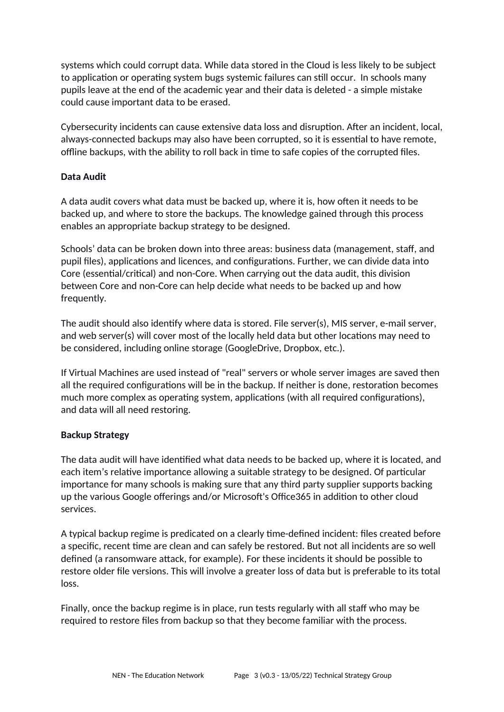systems which could corrupt data. While data stored in the Cloud is less likely to be subject to application or operating system bugs systemic failures can still occur. In schools many pupils leave at the end of the academic year and their data is deleted - a simple mistake could cause important data to be erased.

Cybersecurity incidents can cause extensive data loss and disruption. After an incident, local, always-connected backups may also have been corrupted, so it is essential to have remote, offline backups, with the ability to roll back in time to safe copies of the corrupted files.

# **Data Audit**

A data audit covers what data must be backed up, where it is, how often it needs to be backed up, and where to store the backups. The knowledge gained through this process enables an appropriate backup strategy to be designed.

Schools' data can be broken down into three areas: business data (management, staff, and pupil files), applications and licences, and configurations. Further, we can divide data into Core (essential/critical) and non-Core. When carrying out the data audit, this division between Core and non-Core can help decide what needs to be backed up and how frequently.

The audit should also identify where data is stored. File server(s), MIS server, e-mail server, and web server(s) will cover most of the locally held data but other locations may need to be considered, including online storage (GoogleDrive, Dropbox, etc.).

If Virtual Machines are used instead of "real" servers or whole server images are saved then all the required configurations will be in the backup. If neither is done, restoration becomes much more complex as operating system, applications (with all required configurations), and data will all need restoring.

# **Backup Strategy**

The data audit will have identified what data needs to be backed up, where it is located, and each item's relative importance allowing a suitable strategy to be designed. Of particular importance for many schools is making sure that any third party supplier supports backing up the various Google offerings and/or Microsoft's Office365 in addition to other cloud services.

A typical backup regime is predicated on a clearly time-defined incident: files created before a specific, recent time are clean and can safely be restored. But not all incidents are so well defined (a ransomware attack, for example). For these incidents it should be possible to restore older file versions. This will involve a greater loss of data but is preferable to its total loss.

Finally, once the backup regime is in place, run tests regularly with all staff who may be required to restore files from backup so that they become familiar with the process.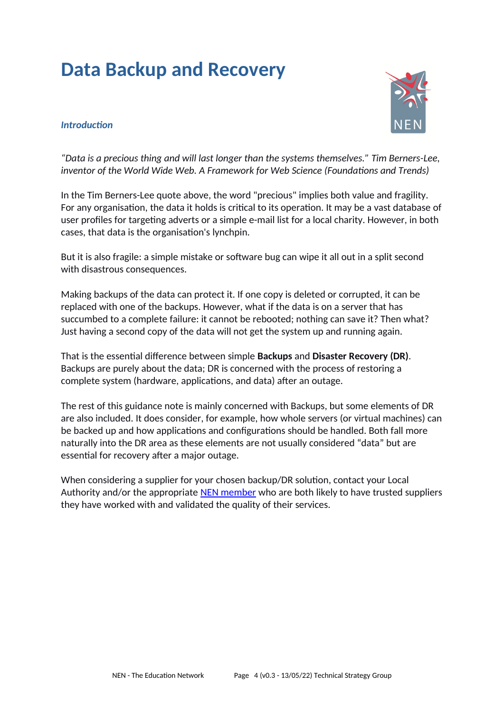# **Data Backup and Recovery**

#### *Introduction*



*"Data is a precious thing and will last longer than the systems themselves." Tim Berners-Lee, inventor of the World Wide Web. A Framework for Web Science (Foundations and Trends)*

In the Tim Berners-Lee quote above, the word "precious" implies both value and fragility. For any organisation, the data it holds is critical to its operation. It may be a vast database of user profiles for targeting adverts or a simple e-mail list for a local charity. However, in both cases, that data is the organisation's lynchpin.

But it is also fragile: a simple mistake or software bug can wipe it all out in a split second with disastrous consequences.

Making backups of the data can protect it. If one copy is deleted or corrupted, it can be replaced with one of the backups. However, what if the data is on a server that has succumbed to a complete failure: it cannot be rebooted; nothing can save it? Then what? Just having a second copy of the data will not get the system up and running again.

That is the essential difference between simple **Backups** and **Disaster Recovery (DR)**. Backups are purely about the data; DR is concerned with the process of restoring a complete system (hardware, applications, and data) after an outage.

The rest of this guidance note is mainly concerned with Backups, but some elements of DR are also included. It does consider, for example, how whole servers (or virtual machines) can be backed up and how applications and configurations should be handled. Both fall more naturally into the DR area as these elements are not usually considered "data" but are essential for recovery after a major outage.

When considering a supplier for your chosen backup/DR solution, contact your Local Authority and/or the appropriate [NEN member](https://nen.gov.uk/about-us/providers/) who are both likely to have trusted suppliers they have worked with and validated the quality of their services.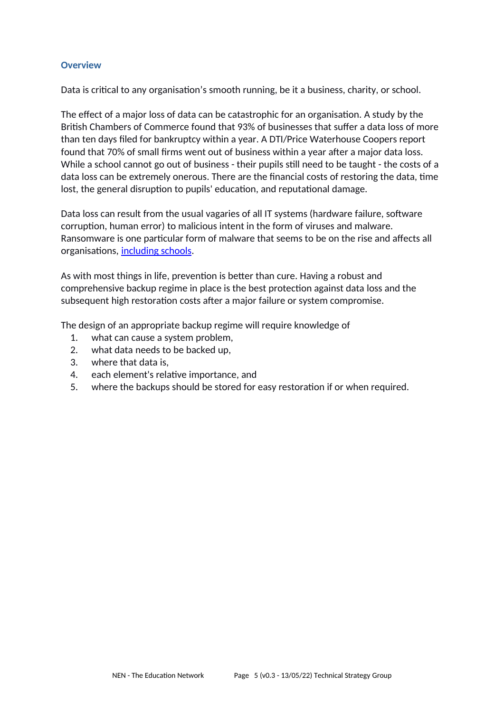#### **Overview**

Data is critical to any organisation's smooth running, be it a business, charity, or school.

The effect of a major loss of data can be catastrophic for an organisation. A study by the British Chambers of Commerce found that 93% of businesses that suffer a data loss of more than ten days filed for bankruptcy within a year. A DTI/Price Waterhouse Coopers report found that 70% of small firms went out of business within a year after a major data loss. While a school cannot go out of business - their pupils still need to be taught - the costs of a data loss can be extremely onerous. There are the financial costs of restoring the data, time lost, the general disruption to pupils' education, and reputational damage.

Data loss can result from the usual vagaries of all IT systems (hardware failure, software corruption, human error) to malicious intent in the form of viruses and malware. Ransomware is one particular form of malware that seems to be on the rise and affects all organisations, [including schools](https://www.ncsc.gov.uk/news/alert-targeted-ransomware-attacks-on-uk-education-sector#section_2).

As with most things in life, prevention is better than cure. Having a robust and comprehensive backup regime in place is the best protection against data loss and the subsequent high restoration costs after a major failure or system compromise.

The design of an appropriate backup regime will require knowledge of

- 1. what can cause a system problem,
- 2. what data needs to be backed up,
- 3. where that data is,
- 4. each element's relative importance, and
- 5. where the backups should be stored for easy restoration if or when required.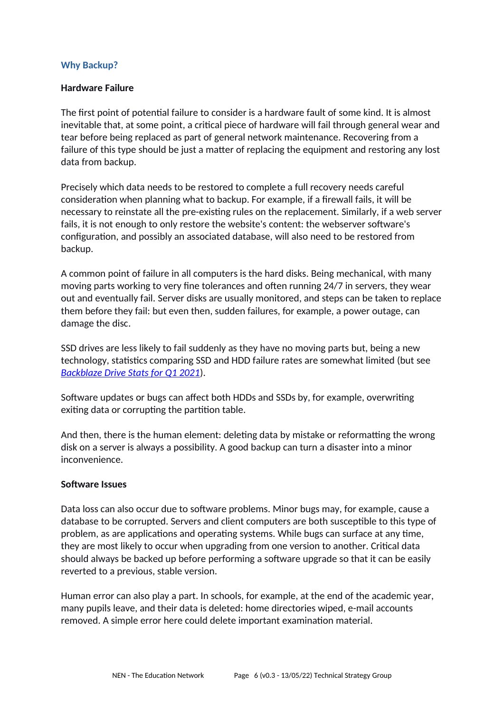#### **Why Backup?**

#### **Hardware Failure**

The first point of potential failure to consider is a hardware fault of some kind. It is almost inevitable that, at some point, a critical piece of hardware will fail through general wear and tear before being replaced as part of general network maintenance. Recovering from a failure of this type should be just a matter of replacing the equipment and restoring any lost data from backup.

Precisely which data needs to be restored to complete a full recovery needs careful consideration when planning what to backup. For example, if a firewall fails, it will be necessary to reinstate all the pre-existing rules on the replacement. Similarly, if a web server fails, it is not enough to only restore the website's content: the webserver software's configuration, and possibly an associated database, will also need to be restored from backup.

A common point of failure in all computers is the hard disks. Being mechanical, with many moving parts working to very fine tolerances and often running 24/7 in servers, they wear out and eventually fail. Server disks are usually monitored, and steps can be taken to replace them before they fail: but even then, sudden failures, for example, a power outage, can damage the disc.

SSD drives are less likely to fail suddenly as they have no moving parts but, being a new technology, statistics comparing SSD and HDD failure rates are somewhat limited (but see *[Backblaze Drive Stats for Q1 2021](https://www.backblaze.com/blog/backblaze-hard-drive-stats-q1-2021/)*).

Software updates or bugs can affect both HDDs and SSDs by, for example, overwriting exiting data or corrupting the partition table.

And then, there is the human element: deleting data by mistake or reformatting the wrong disk on a server is always a possibility. A good backup can turn a disaster into a minor inconvenience.

#### **Software Issues**

Data loss can also occur due to software problems. Minor bugs may, for example, cause a database to be corrupted. Servers and client computers are both susceptible to this type of problem, as are applications and operating systems. While bugs can surface at any time, they are most likely to occur when upgrading from one version to another. Critical data should always be backed up before performing a software upgrade so that it can be easily reverted to a previous, stable version.

Human error can also play a part. In schools, for example, at the end of the academic year, many pupils leave, and their data is deleted: home directories wiped, e-mail accounts removed. A simple error here could delete important examination material.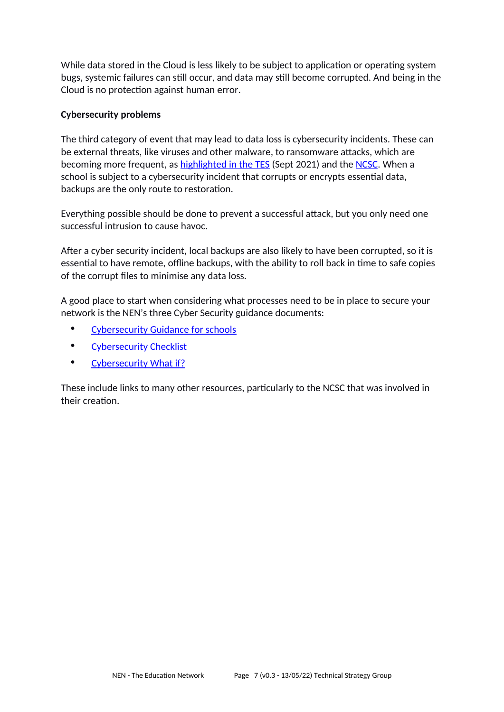While data stored in the Cloud is less likely to be subject to application or operating system bugs, systemic failures can still occur, and data may still become corrupted. And being in the Cloud is no protection against human error.

# **Cybersecurity problems**

The third category of event that may lead to data loss is cybersecurity incidents. These can be external threats, like viruses and other malware, to ransomware attacks, which are becoming more frequent, as [highlighted in the TES](http://www.tes.com/magazine/article/cyberattacks-schools-facts) (Sept 2021) and the [NCSC](https://www.ncsc.gov.uk/news/alert-targeted-ransomware-attacks-on-uk-education-sector). When a school is subject to a cybersecurity incident that corrupts or encrypts essential data, backups are the only route to restoration.

Everything possible should be done to prevent a successful attack, but you only need one successful intrusion to cause havoc.

After a cyber security incident, local backups are also likely to have been corrupted, so it is essential to have remote, offline backups, with the ability to roll back in time to safe copies of the corrupt files to minimise any data loss.

A good place to start when considering what processes need to be in place to secure your network is the NEN's three Cyber Security guidance documents:

- • [Cybersecurity Guidance for schools](https://nen.gov.uk/advice/nen-cyber-security-guidance-for-schools/)
- • [Cybersecurity Checklist](https://nen.gov.uk/advice/cybersecurity-checklist/)
- • [Cybersecurity What if?](https://nen.gov.uk/advice/cybersecurity-what-if/)

These include links to many other resources, particularly to the NCSC that was involved in their creation.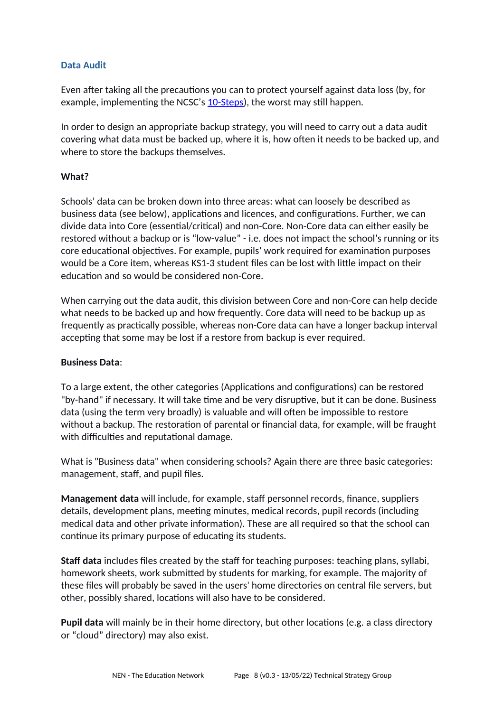# **Data Audit**

Even after taking all the precautions you can to protect yourself against data loss (by, for example, implementing the NCSC's [10-Steps\)](https://www.ncsc.gov.uk/collection/10-steps), the worst may still happen.

In order to design an appropriate backup strategy, you will need to carry out a data audit covering what data must be backed up, where it is, how often it needs to be backed up, and where to store the backups themselves.

# **What?**

Schools' data can be broken down into three areas: what can loosely be described as business data (see below), applications and licences, and configurations. Further, we can divide data into Core (essential/critical) and non-Core. Non-Core data can either easily be restored without a backup or is "low-value" - i.e. does not impact the school's running or its core educational objectives. For example, pupils' work required for examination purposes would be a Core item, whereas KS1-3 student files can be lost with little impact on their education and so would be considered non-Core.

When carrying out the data audit, this division between Core and non-Core can help decide what needs to be backed up and how frequently. Core data will need to be backup up as frequently as practically possible, whereas non-Core data can have a longer backup interval accepting that some may be lost if a restore from backup is ever required.

# **Business Data**:

To a large extent, the other categories (Applications and configurations) can be restored "by-hand" if necessary. It will take time and be very disruptive, but it can be done. Business data (using the term very broadly) is valuable and will often be impossible to restore without a backup. The restoration of parental or financial data, for example, will be fraught with difficulties and reputational damage.

What is "Business data" when considering schools? Again there are three basic categories: management, staff, and pupil files.

**Management data** will include, for example, staff personnel records, finance, suppliers details, development plans, meeting minutes, medical records, pupil records (including medical data and other private information). These are all required so that the school can continue its primary purpose of educating its students.

**Staff data** includes files created by the staff for teaching purposes: teaching plans, syllabi, homework sheets, work submitted by students for marking, for example. The majority of these files will probably be saved in the users' home directories on central file servers, but other, possibly shared, locations will also have to be considered.

**Pupil data** will mainly be in their home directory, but other locations (e.g. a class directory or "cloud" directory) may also exist.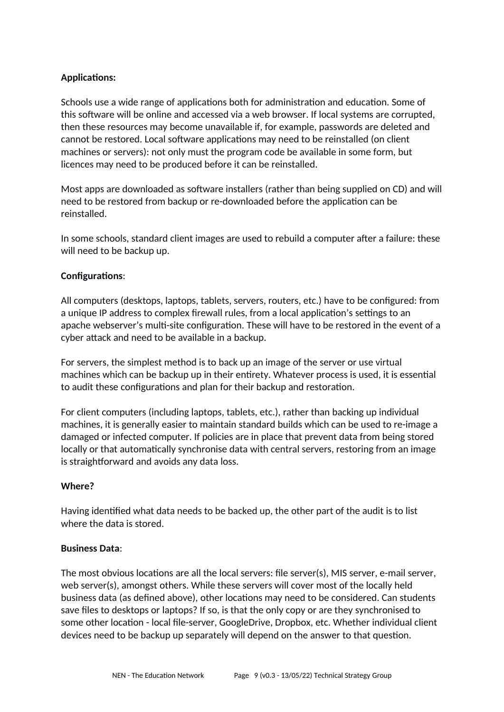# **Applications:**

Schools use a wide range of applications both for administration and education. Some of this software will be online and accessed via a web browser. If local systems are corrupted, then these resources may become unavailable if, for example, passwords are deleted and cannot be restored. Local software applications may need to be reinstalled (on client machines or servers): not only must the program code be available in some form, but licences may need to be produced before it can be reinstalled.

Most apps are downloaded as software installers (rather than being supplied on CD) and will need to be restored from backup or re-downloaded before the application can be reinstalled.

In some schools, standard client images are used to rebuild a computer after a failure: these will need to be backup up.

#### **Configurations**:

All computers (desktops, laptops, tablets, servers, routers, etc.) have to be configured: from a unique IP address to complex firewall rules, from a local application's settings to an apache webserver's multi-site configuration. These will have to be restored in the event of a cyber attack and need to be available in a backup.

For servers, the simplest method is to back up an image of the server or use virtual machines which can be backup up in their entirety. Whatever process is used, it is essential to audit these configurations and plan for their backup and restoration.

For client computers (including laptops, tablets, etc.), rather than backing up individual machines, it is generally easier to maintain standard builds which can be used to re-image a damaged or infected computer. If policies are in place that prevent data from being stored locally or that automatically synchronise data with central servers, restoring from an image is straightforward and avoids any data loss.

#### **Where?**

Having identified what data needs to be backed up, the other part of the audit is to list where the data is stored.

#### **Business Data**:

The most obvious locations are all the local servers: file server(s), MIS server, e-mail server, web server(s), amongst others. While these servers will cover most of the locally held business data (as defined above), other locations may need to be considered. Can students save files to desktops or laptops? If so, is that the only copy or are they synchronised to some other location - local file-server, GoogleDrive, Dropbox, etc. Whether individual client devices need to be backup up separately will depend on the answer to that question.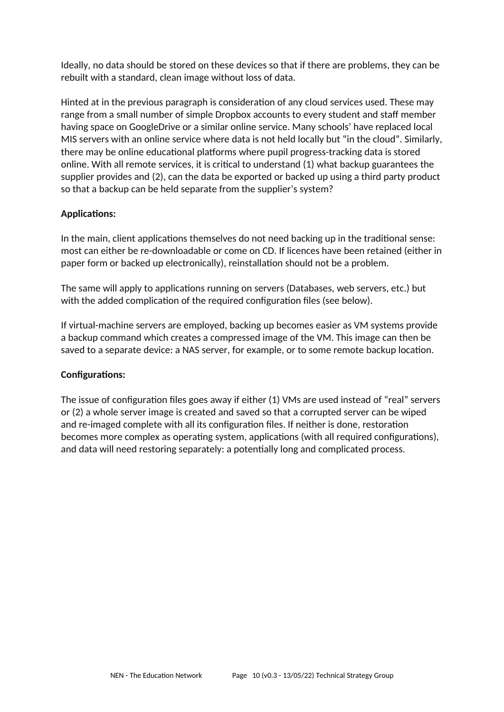Ideally, no data should be stored on these devices so that if there are problems, they can be rebuilt with a standard, clean image without loss of data.

Hinted at in the previous paragraph is consideration of any cloud services used. These may range from a small number of simple Dropbox accounts to every student and staff member having space on GoogleDrive or a similar online service. Many schools' have replaced local MIS servers with an online service where data is not held locally but "in the cloud". Similarly, there may be online educational platforms where pupil progress-tracking data is stored online. With all remote services, it is critical to understand (1) what backup guarantees the supplier provides and (2), can the data be exported or backed up using a third party product so that a backup can be held separate from the supplier's system?

# **Applications:**

In the main, client applications themselves do not need backing up in the traditional sense: most can either be re-downloadable or come on CD. If licences have been retained (either in paper form or backed up electronically), reinstallation should not be a problem.

The same will apply to applications running on servers (Databases, web servers, etc.) but with the added complication of the required configuration files (see below).

If virtual-machine servers are employed, backing up becomes easier as VM systems provide a backup command which creates a compressed image of the VM. This image can then be saved to a separate device: a NAS server, for example, or to some remote backup location.

#### **Configurations:**

The issue of configuration files goes away if either (1) VMs are used instead of "real" servers or (2) a whole server image is created and saved so that a corrupted server can be wiped and re-imaged complete with all its configuration files. If neither is done, restoration becomes more complex as operating system, applications (with all required configurations), and data will need restoring separately: a potentially long and complicated process.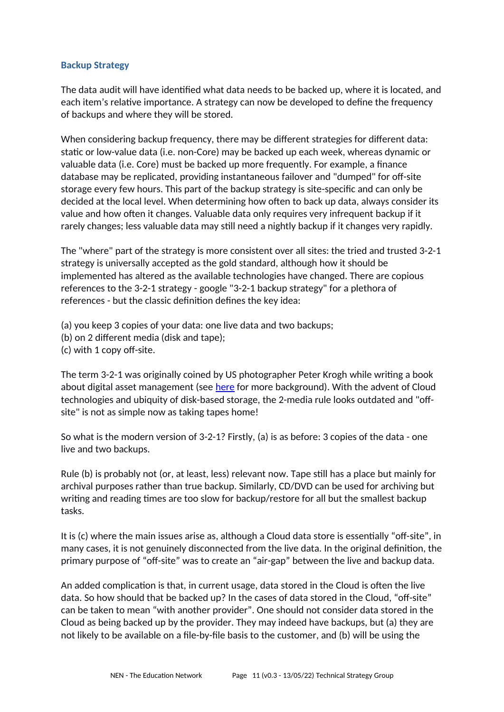### **Backup Strategy**

The data audit will have identified what data needs to be backed up, where it is located, and each item's relative importance. A strategy can now be developed to define the frequency of backups and where they will be stored.

When considering backup frequency, there may be different strategies for different data: static or low-value data (i.e. non-Core) may be backed up each week, whereas dynamic or valuable data (i.e. Core) must be backed up more frequently. For example, a finance database may be replicated, providing instantaneous failover and "dumped" for off-site storage every few hours. This part of the backup strategy is site-specific and can only be decided at the local level. When determining how often to back up data, always consider its value and how often it changes. Valuable data only requires very infrequent backup if it rarely changes; less valuable data may still need a nightly backup if it changes very rapidly.

The "where" part of the strategy is more consistent over all sites: the tried and trusted 3-2-1 strategy is universally accepted as the gold standard, although how it should be implemented has altered as the available technologies have changed. There are copious references to the 3-2-1 strategy - google "3-2-1 backup strategy" for a plethora of references - but the classic definition defines the key idea:

(a) you keep 3 copies of your data: one live data and two backups;

- (b) on 2 different media (disk and tape);
- (c) with 1 copy off-site.

The term 3-2-1 was originally coined by US photographer Peter Krogh while writing a book about digital asset management (see [here](https://www.computerweekly.com/feature/The-3-2-1-backup-rule-Has-cloud-made-it-obsolete) for more background). With the advent of Cloud technologies and ubiquity of disk-based storage, the 2-media rule looks outdated and "offsite" is not as simple now as taking tapes home!

So what is the modern version of 3-2-1? Firstly, (a) is as before: 3 copies of the data - one live and two backups.

Rule (b) is probably not (or, at least, less) relevant now. Tape still has a place but mainly for archival purposes rather than true backup. Similarly, CD/DVD can be used for archiving but writing and reading times are too slow for backup/restore for all but the smallest backup tasks.

It is (c) where the main issues arise as, although a Cloud data store is essentially "off-site", in many cases, it is not genuinely disconnected from the live data. In the original definition, the primary purpose of "off-site" was to create an "air-gap" between the live and backup data.

An added complication is that, in current usage, data stored in the Cloud is often the live data. So how should that be backed up? In the cases of data stored in the Cloud, "off-site" can be taken to mean "with another provider". One should not consider data stored in the Cloud as being backed up by the provider. They may indeed have backups, but (a) they are not likely to be available on a file-by-file basis to the customer, and (b) will be using the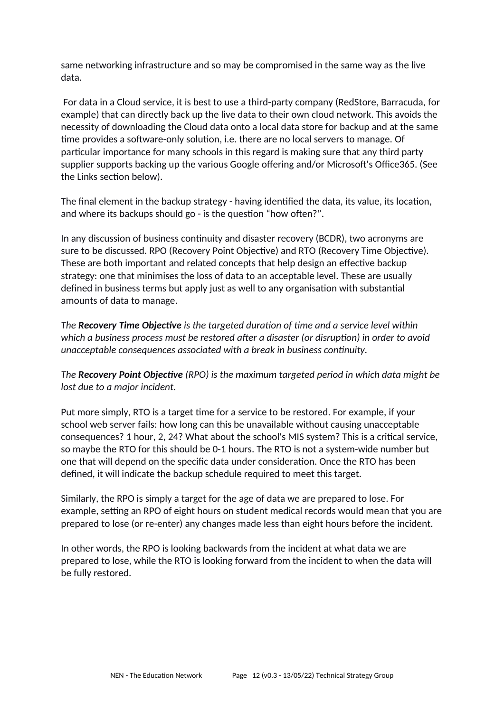same networking infrastructure and so may be compromised in the same way as the live data.

For data in a Cloud service, it is best to use a third-party company (RedStore, Barracuda, for example) that can directly back up the live data to their own cloud network. This avoids the necessity of downloading the Cloud data onto a local data store for backup and at the same time provides a software-only solution, i.e. there are no local servers to manage. Of particular importance for many schools in this regard is making sure that any third party supplier supports backing up the various Google offering and/or Microsoft's Office365. (See the Links section below).

The final element in the backup strategy - having identified the data, its value, its location, and where its backups should go - is the question "how often?".

In any discussion of business continuity and disaster recovery (BCDR), two acronyms are sure to be discussed. RPO (Recovery Point Objective) and RTO (Recovery Time Objective). These are both important and related concepts that help design an effective backup strategy: one that minimises the loss of data to an acceptable level. These are usually defined in business terms but apply just as well to any organisation with substantial amounts of data to manage.

*The Recovery Time Objective is the targeted duration of time and a service level within which a business process must be restored after a disaster (or disruption) in order to avoid unacceptable consequences associated with a break in business continuity.*

*The Recovery Point Objective (RPO) is the maximum targeted period in which data might be lost due to a major incident.*

Put more simply, RTO is a target time for a service to be restored. For example, if your school web server fails: how long can this be unavailable without causing unacceptable consequences? 1 hour, 2, 24? What about the school's MIS system? This is a critical service, so maybe the RTO for this should be 0-1 hours. The RTO is not a system-wide number but one that will depend on the specific data under consideration. Once the RTO has been defined, it will indicate the backup schedule required to meet this target.

Similarly, the RPO is simply a target for the age of data we are prepared to lose. For example, setting an RPO of eight hours on student medical records would mean that you are prepared to lose (or re-enter) any changes made less than eight hours before the incident.

In other words, the RPO is looking backwards from the incident at what data we are prepared to lose, while the RTO is looking forward from the incident to when the data will be fully restored.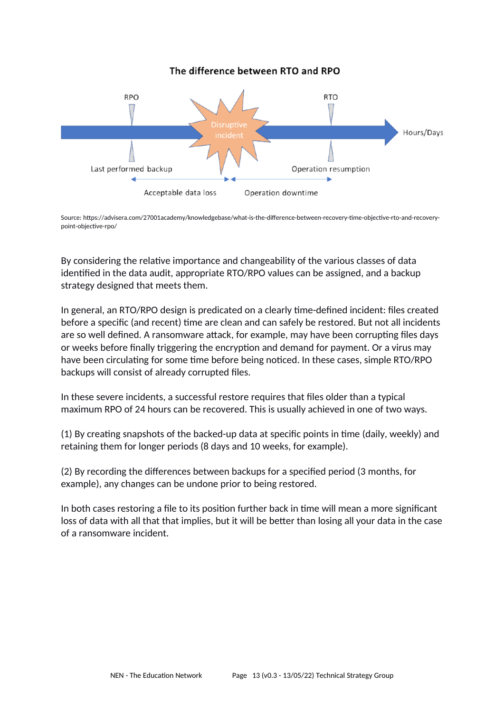The difference between RTO and RPO



Source: [https://advisera.com/27001academy/knowledgebase/what-is-the-difference-between-recovery-time-objective-rto-and-recovery](https://advisera.com/27001academy/knowledgebase/what-is-the-difference-between-recovery-time-objective-rto-and-recovery-point-objective-rpo/)[point-objective-rpo/](https://advisera.com/27001academy/knowledgebase/what-is-the-difference-between-recovery-time-objective-rto-and-recovery-point-objective-rpo/)

By considering the relative importance and changeability of the various classes of data identified in the data audit, appropriate RTO/RPO values can be assigned, and a backup strategy designed that meets them.

In general, an RTO/RPO design is predicated on a clearly time-defined incident: files created before a specific (and recent) time are clean and can safely be restored. But not all incidents are so well defined. A ransomware attack, for example, may have been corrupting files days or weeks before finally triggering the encryption and demand for payment. Or a virus may have been circulating for some time before being noticed. In these cases, simple RTO/RPO backups will consist of already corrupted files.

In these severe incidents, a successful restore requires that files older than a typical maximum RPO of 24 hours can be recovered. This is usually achieved in one of two ways.

(1) By creating snapshots of the backed-up data at specific points in time (daily, weekly) and retaining them for longer periods (8 days and 10 weeks, for example).

(2) By recording the differences between backups for a specified period (3 months, for example), any changes can be undone prior to being restored.

In both cases restoring a file to its position further back in time will mean a more significant loss of data with all that that implies, but it will be better than losing all your data in the case of a ransomware incident.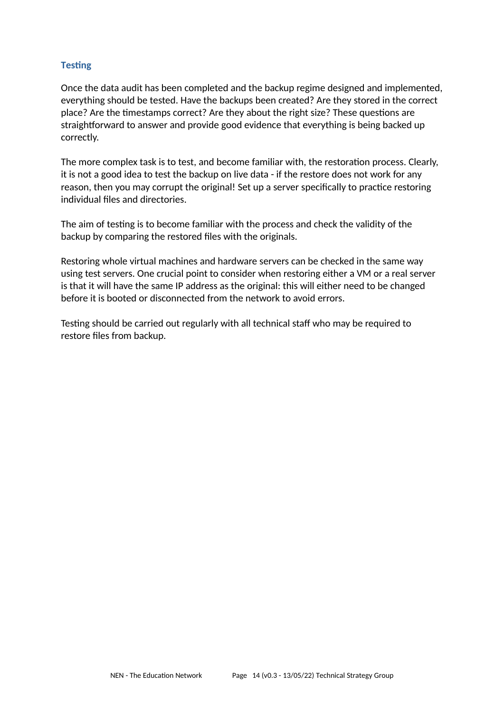# **Testing**

Once the data audit has been completed and the backup regime designed and implemented, everything should be tested. Have the backups been created? Are they stored in the correct place? Are the timestamps correct? Are they about the right size? These questions are straightforward to answer and provide good evidence that everything is being backed up correctly.

The more complex task is to test, and become familiar with, the restoration process. Clearly, it is not a good idea to test the backup on live data - if the restore does not work for any reason, then you may corrupt the original! Set up a server specifically to practice restoring individual files and directories.

The aim of testing is to become familiar with the process and check the validity of the backup by comparing the restored files with the originals.

Restoring whole virtual machines and hardware servers can be checked in the same way using test servers. One crucial point to consider when restoring either a VM or a real server is that it will have the same IP address as the original: this will either need to be changed before it is booted or disconnected from the network to avoid errors.

Testing should be carried out regularly with all technical staff who may be required to restore files from backup.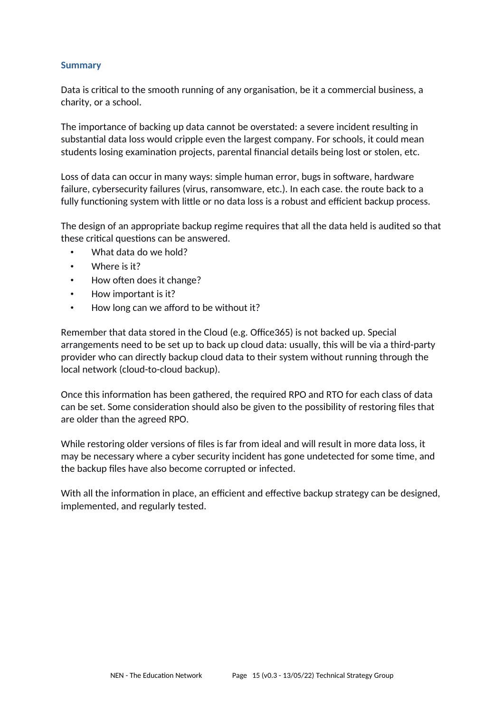#### **Summary**

Data is critical to the smooth running of any organisation, be it a commercial business, a charity, or a school.

The importance of backing up data cannot be overstated: a severe incident resulting in substantial data loss would cripple even the largest company. For schools, it could mean students losing examination projects, parental financial details being lost or stolen, etc.

Loss of data can occur in many ways: simple human error, bugs in software, hardware failure, cybersecurity failures (virus, ransomware, etc.). In each case. the route back to a fully functioning system with little or no data loss is a robust and efficient backup process.

The design of an appropriate backup regime requires that all the data held is audited so that these critical questions can be answered.

- What data do we hold?
- Where is it?
- How often does it change?
- How important is it?
- How long can we afford to be without it?

Remember that data stored in the Cloud (e.g. Office365) is not backed up. Special arrangements need to be set up to back up cloud data: usually, this will be via a third-party provider who can directly backup cloud data to their system without running through the local network (cloud-to-cloud backup).

Once this information has been gathered, the required RPO and RTO for each class of data can be set. Some consideration should also be given to the possibility of restoring files that are older than the agreed RPO.

While restoring older versions of files is far from ideal and will result in more data loss, it may be necessary where a cyber security incident has gone undetected for some time, and the backup files have also become corrupted or infected.

With all the information in place, an efficient and effective backup strategy can be designed, implemented, and regularly tested.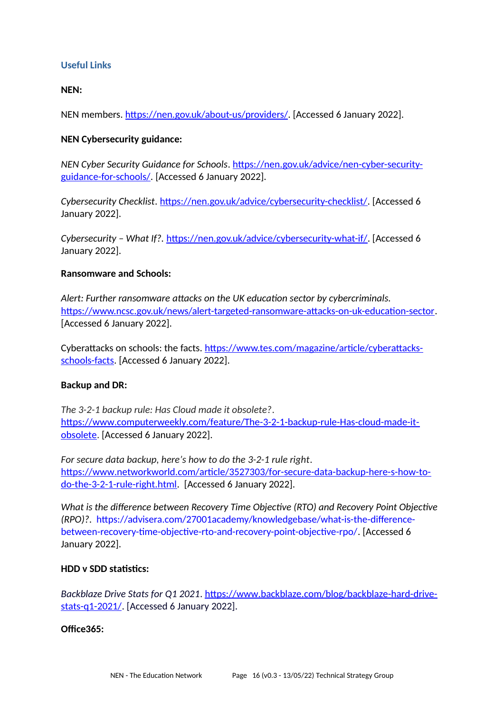# **Useful Links**

#### **NEN:**

NEN members. <https://nen.gov.uk/about-us/providers/>. [Accessed 6 January 2022].

#### **NEN Cybersecurity guidance:**

*NEN Cyber Security Guidance for Schools*. [https://nen.gov.uk/advice/nen-cyber-security](https://nen.gov.uk/advice/nen-cyber-security-guidance-for-schools/)[guidance-for-schools/.](https://nen.gov.uk/advice/nen-cyber-security-guidance-for-schools/) [Accessed 6 January 2022].

*Cybersecurity Checklist*. <https://nen.gov.uk/advice/cybersecurity-checklist/>. [Accessed 6 January 2022].

*Cybersecurity – What If?.* <https://nen.gov.uk/advice/cybersecurity-what-if/>. [Accessed 6 January 2022].

#### **Ransomware and Schools:**

*Alert: Further ransomware attacks on the UK education sector by cybercriminals.*  [https://www.ncsc.gov.uk/news/alert-targeted-ransomware-attacks-on-uk-education-sector.](https://www.ncsc.gov.uk/news/alert-targeted-ransomware-attacks-on-uk-education-sector) [Accessed 6 January 2022].

Cyberattacks on schools: the facts. [https://www.tes.com/magazine/article/cyberattacks](https://www.tes.com/magazine/article/cyberattacks-schools-facts)[schools-facts.](https://www.tes.com/magazine/article/cyberattacks-schools-facts) [Accessed 6 January 2022].

#### **Backup and DR:**

*The 3-2-1 backup rule: Has Cloud made it obsolete?*. [https://www.computerweekly.com/feature/The-3-2-1-backup-rule-Has-cloud-made-it](https://www.computerweekly.com/feature/The-3-2-1-backup-rule-Has-cloud-made-it-obsolete)[obsolete](https://www.computerweekly.com/feature/The-3-2-1-backup-rule-Has-cloud-made-it-obsolete). [Accessed 6 January 2022].

*For secure data backup, here's how to do the 3-2-1 rule right*. [https://www.networkworld.com/article/3527303/for-secure-data-backup-here-s-how-to](https://www.networkworld.com/article/3527303/for-secure-data-backup-here-s-how-to-do-the-3-2-1-rule-right.html)[do-the-3-2-1-rule-right.html](https://www.networkworld.com/article/3527303/for-secure-data-backup-here-s-how-to-do-the-3-2-1-rule-right.html). [Accessed 6 January 2022].

*What is the difference between Recovery Time Objective (RTO) and Recovery Point Objective (RPO)?*. [https://advisera.com/27001academy/knowledgebase/what-is-the-difference](https://advisera.com/27001academy/knowledgebase/what-is-the-difference-between-recovery-time-objective-rto-and-recovery-point-objective-rpo/)[between-recovery-time-objective-rto-and-recovery-point-objective-rpo/.](https://advisera.com/27001academy/knowledgebase/what-is-the-difference-between-recovery-time-objective-rto-and-recovery-point-objective-rpo/) [Accessed 6 January 2022].

### **HDD v SDD statistics:**

*Backblaze Drive Stats for Q1 2021*. https://www.backblaze.com/blog/backblaze-hard-drivestats-q1-2021/. [Accessed 6 January 2022].

# **[Office365:](https://www.backblaze.com/blog/backblaze-hard-drive-stats-q1-2021/)**